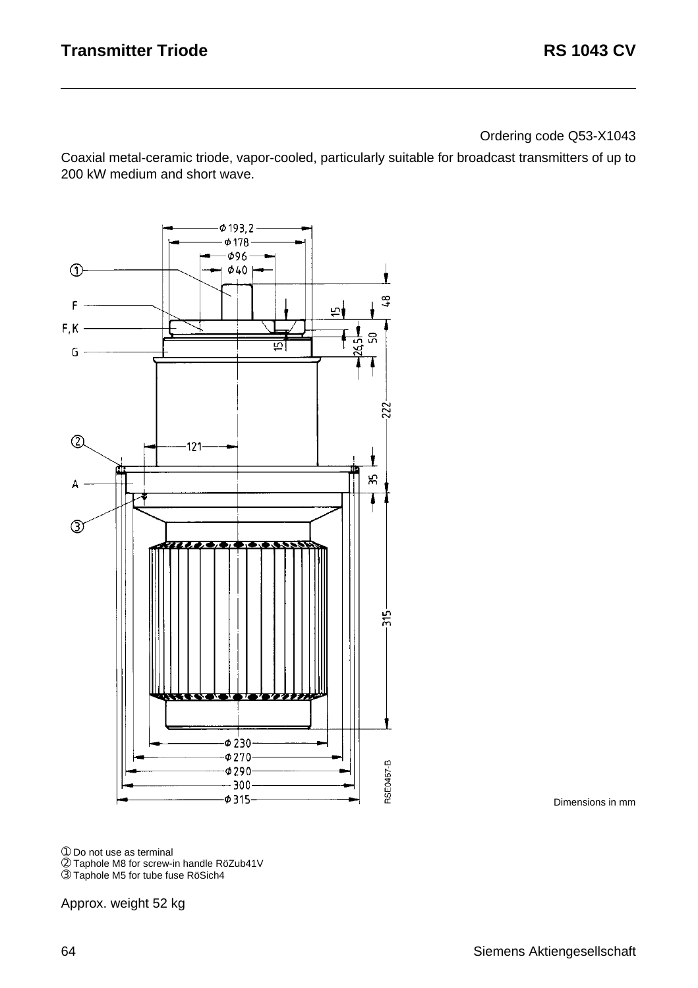Ordering code Q53-X1043

Coaxial metal-ceramic triode, vapor-cooled, particularly suitable for broadcast transmitters of up to 200 kW medium and short wave.



Dimensions in mm

➀ Do not use as terminal

➁ Taphole M8 for screw-in handle RöZub41V ➂ Taphole M5 for tube fuse RöSich4

Approx. weight 52 kg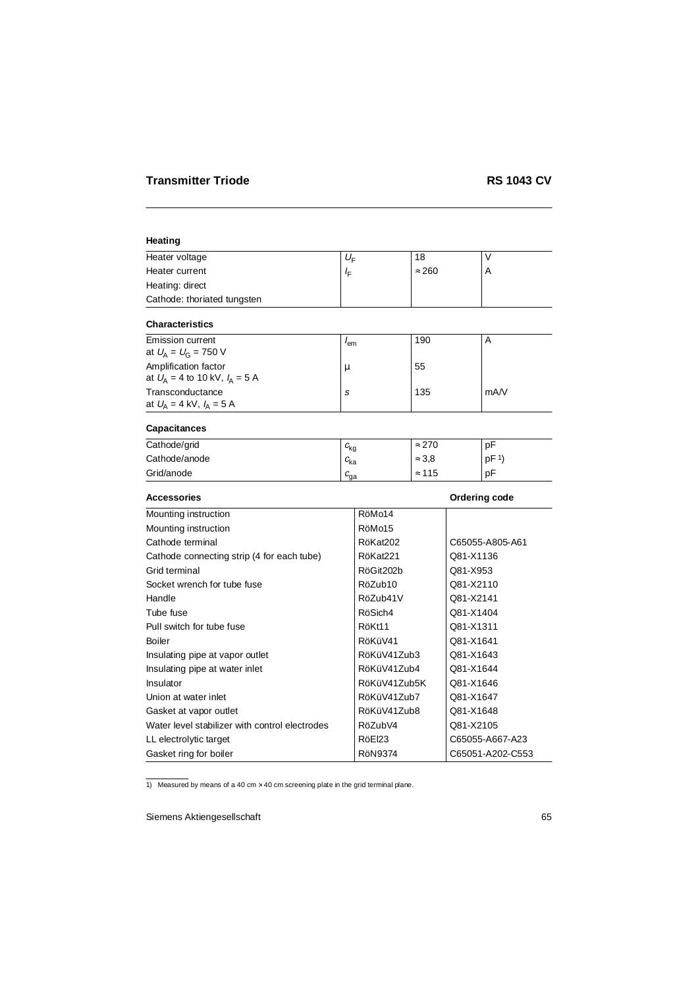## **Heating**

| Heater voltage              | $U_{\rm r}$  | 18            |  |
|-----------------------------|--------------|---------------|--|
| Heater current              | $I_{\nabla}$ | $\approx 260$ |  |
| Heating: direct             |              |               |  |
| Cathode: thoriated tungsten |              |               |  |

### **Characteristics**

| Emission current<br>at $U_{\rm A} = U_{\rm G} = 750$ V                 | lem | 190 | A    |
|------------------------------------------------------------------------|-----|-----|------|
| Amplification factor<br>at $U_{\rm A} = 4$ to 10 kV, $I_{\rm A} = 5$ A | и   | 55  |      |
| Transconductance<br>at $U_{\rm A} = 4$ kV, $I_{\rm A} = 5$ A           | S   | 135 | mA/V |

# **Capacitances**

| Cathode/grid  | $c_{\mathsf{kg}}$ | $\approx 270$ | pF              |
|---------------|-------------------|---------------|-----------------|
| Cathode/anode | ∟ <sub>ka</sub>   | $\approx 3.8$ | DF <sup>1</sup> |
| Grid/anode    | ⊌°                | $\approx$ 115 | рF              |

| <b>Accessories</b>                             |                | Ordering code    |
|------------------------------------------------|----------------|------------------|
| Mounting instruction                           | RöMo14         |                  |
| Mounting instruction                           | RöMo15         |                  |
| Cathode terminal                               | RöKat202       | C65055-A805-A61  |
| Cathode connecting strip (4 for each tube)     | RöKat221       | Q81-X1136        |
| Grid terminal                                  | RöGit202b      | Q81-X953         |
| Socket wrench for tube fuse                    | RöZub10        | Q81-X2110        |
| Handle                                         | RöZub41V       | Q81-X2141        |
| Tube fuse                                      | RöSich4        | Q81-X1404        |
| Pull switch for tube fuse                      | RöKt11         | Q81-X1311        |
| <b>Boiler</b>                                  | RöKüV41        | Q81-X1641        |
| Insulating pipe at vapor outlet                | RöKüV41Zub3    | Q81-X1643        |
| Insulating pipe at water inlet                 | RöKüV41Zub4    | Q81-X1644        |
| Insulator                                      | RöKüV41Zub5K   | Q81-X1646        |
| Union at water inlet                           | RöKüV41Zub7    | Q81-X1647        |
| Gasket at vapor outlet                         | RöKüV41Zub8    | Q81-X1648        |
| Water level stabilizer with control electrodes | RöZubV4        | Q81-X2105        |
| LL electrolytic target                         | RöEl23         | C65055-A667-A23  |
| Gasket ring for boiler                         | <b>RöN9374</b> | C65051-A202-C553 |

1) Measured by means of a 40 cm  $\times$  40 cm screening plate in the grid terminal plane.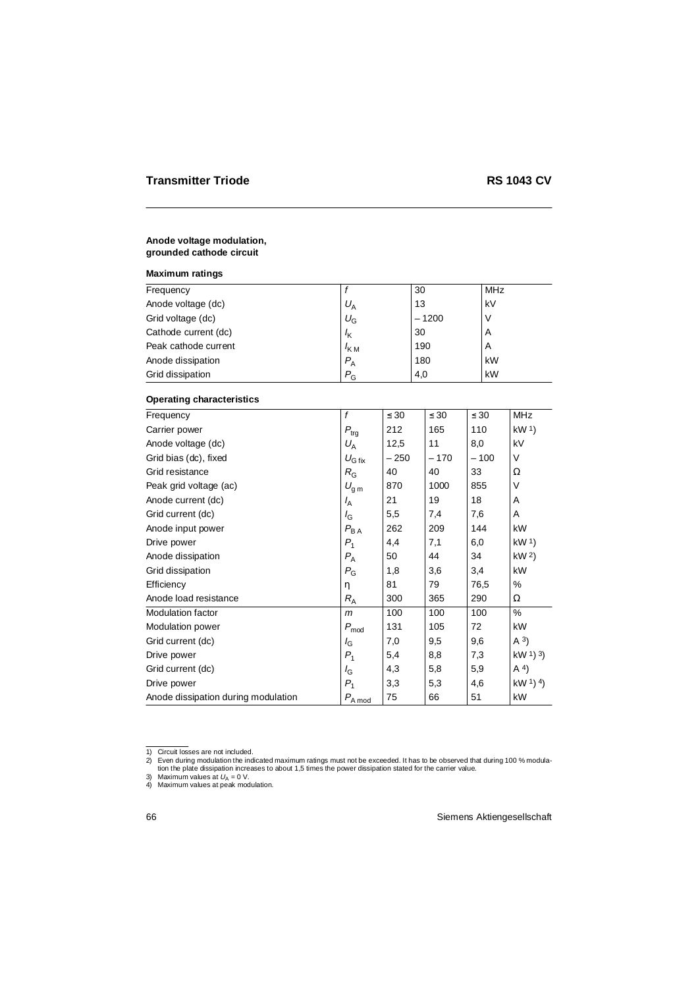#### **Anode voltage modulation, grounded cathode circuit**

### **Maximum ratings**

| Frequency            |                  | 30      | MHz |
|----------------------|------------------|---------|-----|
| Anode voltage (dc)   | $U_{\rm A}$      | 13      | kV  |
| Grid voltage (dc)    | $U_{\rm G}$      | $-1200$ |     |
| Cathode current (dc) | $I_{\mathsf{K}}$ | 30      | A   |
| Peak cathode current | $K_{\rm M}$      | 190     | A   |
| Anode dissipation    | $P_{\rm A}$      | 180     | kW  |
| Grid dissipation     | $P_{\rm G}$      | 4,0     | kW  |

#### **Operating characteristics**

| Frequency                           | $\mathbf f$        | $\leq 30$ | $\leq 30$ | $\leq 30$ | <b>MHz</b>      |
|-------------------------------------|--------------------|-----------|-----------|-----------|-----------------|
| Carrier power                       | $P_{\rm{trg}}$     | 212       | 165       | 110       | kW <sup>1</sup> |
| Anode voltage (dc)                  | $U_A$              | 12,5      | 11        | 8,0       | kV              |
| Grid bias (dc), fixed               | $U_{\text{G fix}}$ | $-250$    | $-170$    | $-100$    | $\vee$          |
| Grid resistance                     | $R_{\rm G}$        | 40        | 40        | 33        | Ω               |
| Peak grid voltage (ac)              | $U_{\rm g\,m}$     | 870       | 1000      | 855       | $\vee$          |
| Anode current (dc)                  | $I_A$              | 21        | 19        | 18        | Α               |
| Grid current (dc)                   | $I_{\rm G}$        | 5,5       | 7,4       | 7,6       | A               |
| Anode input power                   | $P_{\mathsf{BA}}$  | 262       | 209       | 144       | kW              |
| Drive power                         | $P_{1}$            | 4,4       | 7,1       | 6,0       | kW <sup>1</sup> |
| Anode dissipation                   | $P_{\rm A}$        | 50        | 44        | 34        | kW <sup>2</sup> |
| Grid dissipation                    | $P_{\rm G}$        | 1,8       | 3,6       | 3,4       | kW              |
| Efficiency                          | η                  | 81        | 79        | 76,5      | %               |
| Anode load resistance               | $R_{\rm A}$        | 300       | 365       | 290       | Ω               |
| <b>Modulation factor</b>            | $\mathsf{m}$       | 100       | 100       | 100       | %               |
| <b>Modulation power</b>             | $P_{mod}$          | 131       | 105       | 72        | kW              |
| Grid current (dc)                   | $I_{\rm G}$        | 7,0       | 9,5       | 9,6       | $(A^3)$         |
| Drive power                         | $P_{1}$            | 5,4       | 8,8       | 7,3       | kW $(1)$ 3)     |
| Grid current (dc)                   | $I_{\rm G}$        | 4,3       | 5,8       | 5,9       | A <sup>4</sup>  |
| Drive power                         | $P_{1}$            | 3,3       | 5,3       | 4,6       | kW $(1)$ 4)     |
| Anode dissipation during modulation | $P_{A \mod}$       | 75        | 66        | 51        | kW              |

<sup>1)</sup> Circuit losses are not included.

<sup>-2)</sup> Even during modulation the indicated maximum ratings must not be exceeded. It has to be observed that during 100 % modula<br>tion the plate dissipation increases to about 1,5 times the power dissipation stated for the car

<sup>3)</sup> Maximum values at  $U_A = 0$  V.

<sup>4)</sup> Maximum values at peak modulation.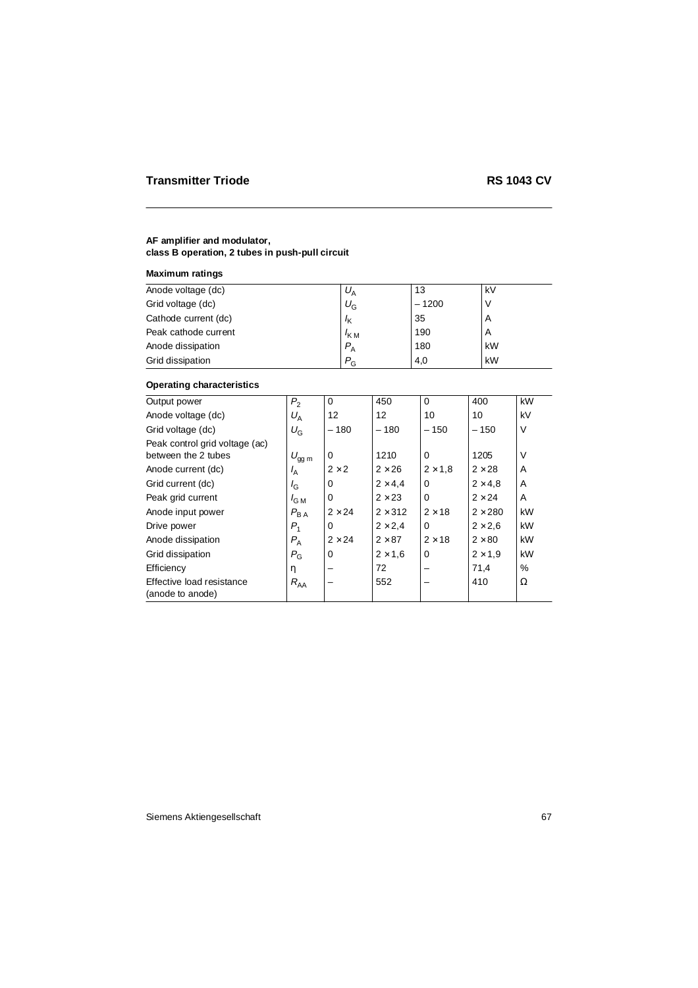### **AF amplifier and modulator, class B operation, 2 tubes in push-pull circuit**

# **Maximum ratings**

| Anode voltage (dc)   | $U_A$            | 13      | kV |
|----------------------|------------------|---------|----|
| Grid voltage (dc)    | $U_{\mathrm G}$  | $-1200$ |    |
| Cathode current (dc) | $I_{\mathsf{K}}$ | 35      | A  |
| Peak cathode current | $I_{\text{KM}}$  | 190     | A  |
| Anode dissipation    | $P_{\rm A}$      | 180     | kW |
| Grid dissipation     | $P_{\rm G}$      | 4,0     | kW |

## **Operating characteristics**

| Output power                                  | P <sub>2</sub>   | $\Omega$      | 450            | $\Omega$       | 400            | kW     |
|-----------------------------------------------|------------------|---------------|----------------|----------------|----------------|--------|
| Anode voltage (dc)                            | $U_A$            | 12            | 12             | 10             | 10             | kV     |
| Grid voltage (dc)                             | $U_{\rm G}$      | $-180$        | $-180$         | $-150$         | $-150$         | V      |
| Peak control grid voltage (ac)                |                  |               |                |                |                |        |
| between the 2 tubes                           | $U_{gg\,m}$      | $\Omega$      | 1210           | $\Omega$       | 1205           | $\vee$ |
| Anode current (dc)                            | $I_A$            | $2 \times 2$  | $2 \times 26$  | $2 \times 1.8$ | $2 \times 28$  | A      |
| Grid current (dc)                             | $I_{\rm G}$      | 0             | $2 \times 4.4$ | 0              | $2 \times 4.8$ | A      |
| Peak grid current                             | $I_{\text{G M}}$ | 0             | $2 \times 23$  | 0              | $2 \times 24$  | A      |
| Anode input power                             | $P_{BA}$         | $2 \times 24$ | $2 \times 312$ | $2 \times 18$  | $2 \times 280$ | kW     |
| Drive power                                   | $P_1$            | 0             | $2 \times 2.4$ | $\Omega$       | $2 \times 2.6$ | kW     |
| Anode dissipation                             | $P_{\rm A}$      | $2 \times 24$ | $2 \times 87$  | $2 \times 18$  | $2 \times 80$  | kW     |
| Grid dissipation                              | $P_{\rm G}$      | 0             | $2 \times 1.6$ | 0              | $2 \times 1.9$ | kW     |
| Efficiency                                    | η                |               | 72             |                | 71,4           | $\%$   |
| Effective load resistance<br>(anode to anode) | $R_{AA}$         |               | 552            |                | 410            | Ω      |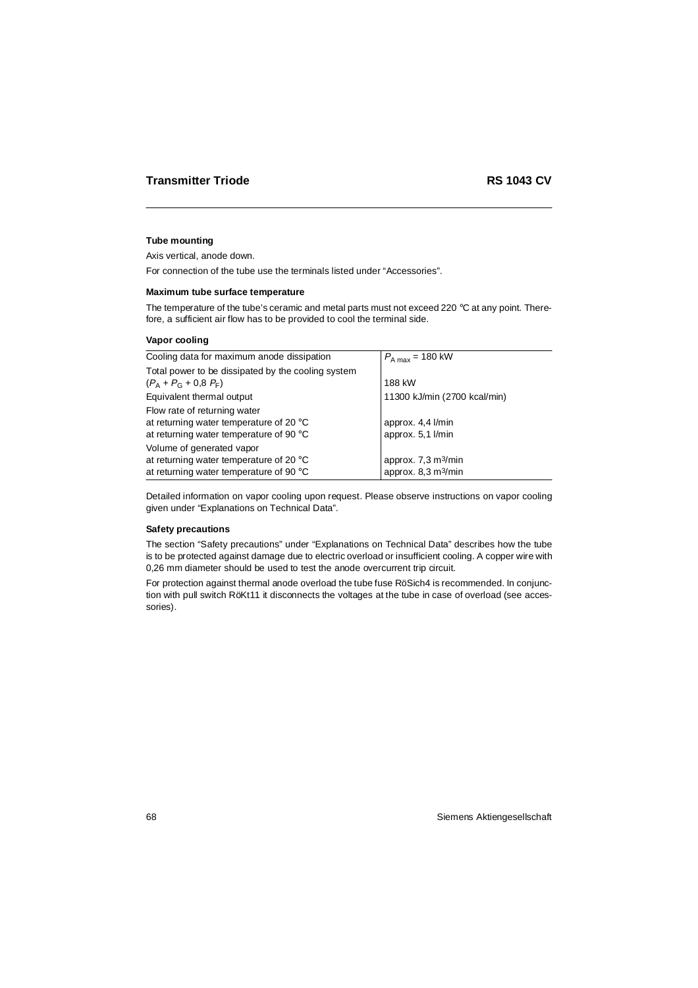### **Tube mounting**

Axis vertical, anode down.

For connection of the tube use the terminals listed under "Accessories".

#### **Maximum tube surface temperature**

The temperature of the tube's ceramic and metal parts must not exceed 220 °C at any point. Therefore, a sufficient air flow has to be provided to cool the terminal side.

#### **Vapor cooling**

| Cooling data for maximum anode dissipation                                                                                  | $P_{A max}$ = 180 kW                                                         |
|-----------------------------------------------------------------------------------------------------------------------------|------------------------------------------------------------------------------|
| Total power to be dissipated by the cooling system<br>$(P_{A} + P_{G} + 0.8 F_{F})$                                         | 188 kW                                                                       |
| Equivalent thermal output                                                                                                   | 11300 kJ/min (2700 kcal/min)                                                 |
| Flow rate of returning water<br>at returning water temperature of 20 $\degree$ C<br>at returning water temperature of 90 °C | approx. 4,4 l/min<br>approx. 5.1 l/min                                       |
| Volume of generated vapor<br>at returning water temperature of 20 °C<br>at returning water temperature of 90 °C             | approx. $7.3 \text{ m}^3/\text{min}$<br>approx. $8.3 \text{ m}^3/\text{min}$ |

Detailed information on vapor cooling upon request. Please observe instructions on vapor cooling given under "Explanations on Technical Data".

#### **Safety precautions**

The section "Safety precautions" under "Explanations on Technical Data" describes how the tube is to be protected against damage due to electric overload or insufficient cooling. A copper wire with 0,26 mm diameter should be used to test the anode overcurrent trip circuit.

For protection against thermal anode overload the tube fuse RöSich4 is recommended. In conjunction with pull switch RöKt11 it disconnects the voltages at the tube in case of overload (see accessories).